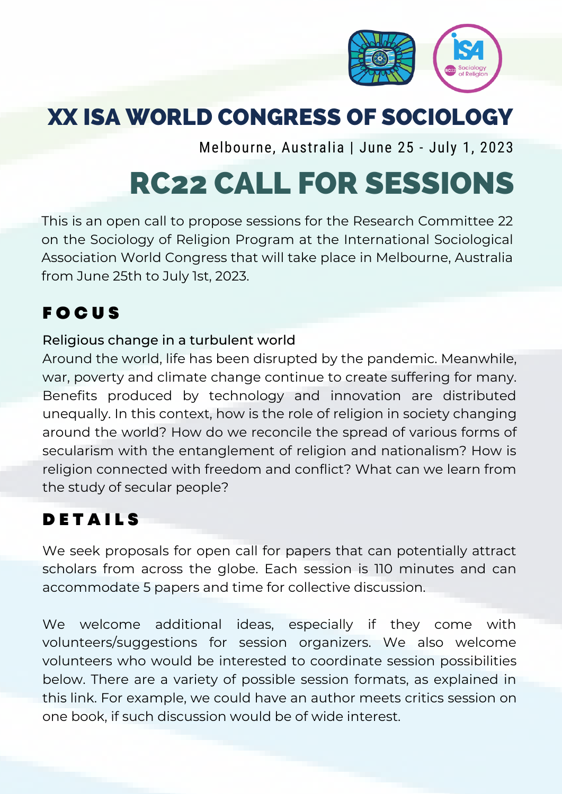

## XX ISA WORLD CONGRESS OF SOCIOLOGY

Melbourne, Australia | June 25 - July 1, 2023

# RC22 CALL FOR SESSIONS

This is an open call to propose sessions for the Research Committee 22 on the Sociology of Religion Program at the International Sociological Association World Congress that will take place in Melbourne, Australia from June 25th to July 1st, 2023.

### F O C U S

#### Religious change in a turbulent world

Around the world, life has been disrupted by the pandemic. Meanwhile, war, poverty and climate change continue to create suffering for many. Benefits produced by technology and innovation are distributed unequally. In this context, how is the role of religion in society changing around the world? How do we reconcile the spread of various forms of secularism with the entanglement of religion and nationalism? How is religion connected with freedom and conflict? What can we learn from the study of secular people?

### **DETAILS**

We seek proposals for open call for papers that can potentially attract scholars from across the globe. Each session is 110 minutes and can accommodate 5 papers and time for collective discussion.

We welcome additional ideas, especially if they come with volunteers/suggestions for session organizers. We also welcome volunteers who would be interested to coordinate session possibilities below. There are a variety of possible session formats, as explained in this [link.](https://www.isa-sociology.org/en/conferences/world-congress/melbourne-2023/guidelines-for-program-coordinators-and-session-organizers-2023) For example, we could have an author meets critics session on one book, if such discussion would be of wide interest.